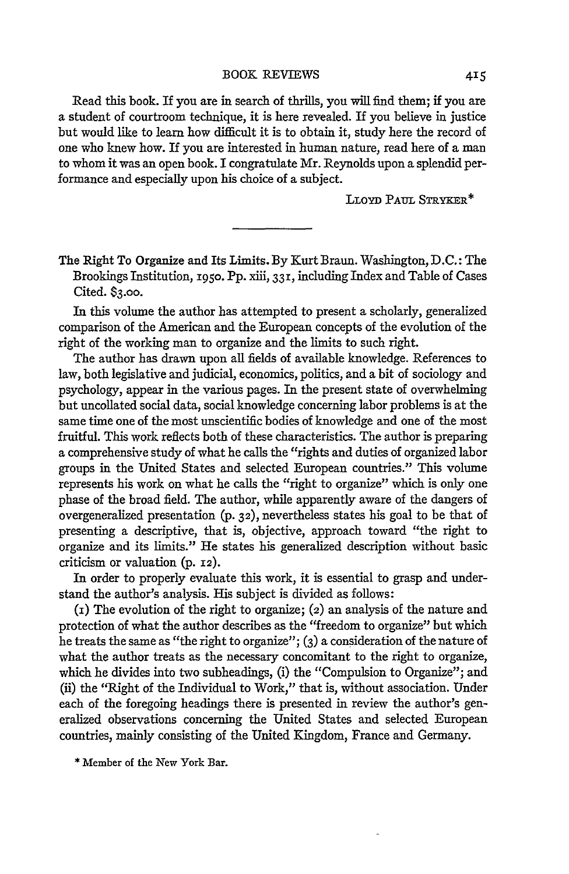Read this book. If you are in search of thrills, you will find them; if you are a student of courtroom technique, it is here revealed. If you believe in justice but would like to learn how difficult it is to obtain it, study here the record of one who knew how. If you are interested in human nature, read here of a man to whom it was an open book. I congratulate Mr. Reynolds upon a splendid performance and especially upon his choice of a subject.

LLOYD PAUL STRYKER\*

The Right To Organize and Its Limits. By Kurt Braun. Washington, D.C.: The Brookings Institution, **1950.** Pp. xiii, 331, including Index and Table of Cases Cited. **\$3.00.**

In this volume the author has attempted to present a scholarly, generalized comparison of the American and the European concepts of the evolution of the right of the working man to organize and the limits to such right.

The author has drawn upon all fields of available knowledge. References to law, both legislative and judicial, economics, politics, and a bit of sociology and psychology, appear in the various pages. In the present state of overwhelming but uncollated social data, social knowledge concerning labor problems is at the same time one of the most unscientific bodies of knowledge and one of the most fruitful. This work reflects both of these characteristics. The author is preparing a comprehensive study of what he calls the "rights and duties of organized labor groups in the United States and selected European countries." This volume represents his work on what he calls the "right to organize" which is only one phase of the broad field. The author, while apparently aware of the dangers of overgeneralized presentation (p. **32),** nevertheless states his goal to be that of presenting a descriptive, that is, objective, approach toward "the right to organize and its limits." He states his generalized description without basic criticism or valuation (p. 12).

In order to properly evaluate this work, it is essential to grasp and understand the author's analysis. His subject is divided as follows:

(i) The evolution of the right to organize; (2) an analysis of the nature and protection of what the author describes as the "freedom to organize" but which he treats the same as "the right to organize"; **(3)** a consideration of the nature of what the author treats as the necessary concomitant to the right to organize, which he divides into two subheadings, (i) the "Compulsion to Organize"; and (ii) the "Right of the Individual to Work," that is, without association. Under each of the foregoing headings there is presented in review the author's generalized observations concerning the United States and selected European countries, mainly consisting of the United Kingdom, France and Germany.

\* Member of the New York Bar.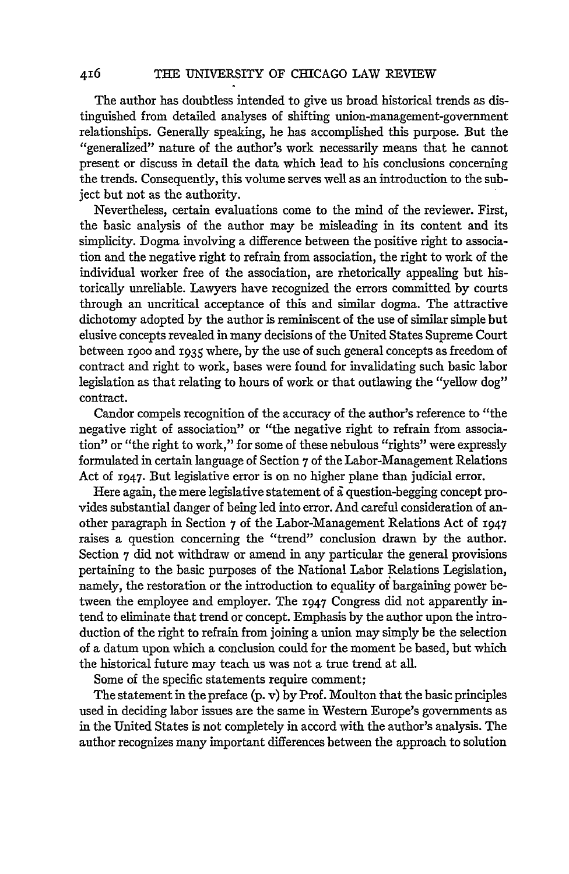The author has doubtless intended to give us broad historical trends as distinguished from detailed analyses of shifting union-management-government relationships. Generally speaking, he has accomplished this purpose. But the "generalized" nature of the author's work necessarily means that he cannot present or discuss in detail the data which lead to his conclusions concerning the trends. Consequently, this volume serves well as an introduction to the subject but not as the authority.

Nevertheless, certain evaluations come to the mind of the reviewer. First, the basic analysis of the author may be misleading in its content and its simplicity. Dogma involving a difference between the positive right to association and the negative right to refrain from association, the right to work of the individual worker free of the association, are rhetorically appealing but historically unreliable. Lawyers have recognized the errors committed by courts through an uncritical acceptance of this and similar dogma. The attractive dichotomy adopted by the author is reminiscent of the use of similar simple but elusive concepts revealed in many decisions of the United States Supreme Court between igoo and 1935 where, by the use of such general concepts as freedom of contract and right to work, bases were found for invalidating such basic labor legislation as that relating to hours of work or that outlawing the "yellow dog" contract.

Candor compels recognition of the accuracy of the author's reference to "the negative right of association" or "the negative right to refrain from association" or "the right to work," for some of these nebulous "rights" were expressly formulated in certain language of Section 7 of the Labor-Management Relations Act of 1947. But legislative error is on no higher plane than judicial error.

Here again, the mere legislative statement of  $\tilde{a}$  question-begging concept provides substantial danger of being led into error. And careful consideration of another paragraph in Section 7 of the Labor-Management Relations Act of 1947 raises a question concerning the "trend" conclusion drawn by the author. Section 7 did not withdraw or amend in any particular the general provisions pertaining to the basic purposes of the National Labor Relations Legislation, namely, the restoration or the introduction to equality of bargaining power between the employee and employer. The 1947 Congress did not apparently intend to eliminate that trend or concept. Emphasis by the author upon the introduction of the right to refrain from joining a union may simply be the selection of a datum upon which a conclusion could for the moment be based, but which the historical future may teach us was not a true trend at all.

Some of the specific statements require comment;

The statement in the preface (p. v) by Prof. Moulton that the basic principles used in deciding labor issues are the same in Western Europe's governments as in the United States is not completely in accord with the author's analysis. The author recognizes many important differences between the approach to solution